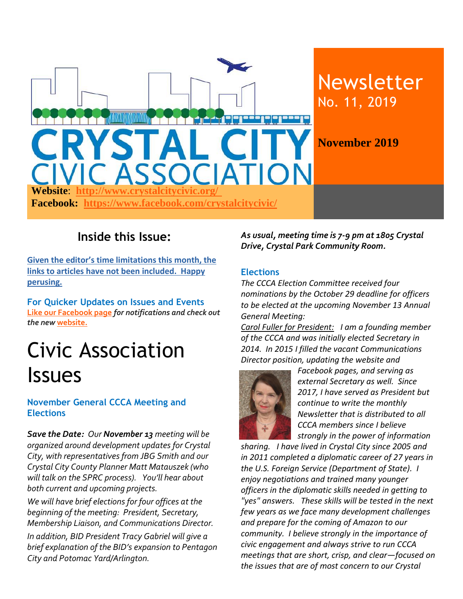

### **Inside this Issue:**

**Given the editor's time limitations this month, the links to articles have not been included. Happy perusing.**

**For Quicker Updates on Issues and Events [Like our Facebook page](https://www.facebook.com/crystalcitycivic/?ref=aymt_homepage_panel)** *for notifications and check out the new* **[website.](http://www.crystalcitycivic.org/)**

# Civic Association Issues

#### **November General CCCA Meeting and Elections**

*Save the Date: Our November 13 meeting will be organized around development updates for Crystal City, with representatives from JBG Smith and our Crystal City County Planner Matt Matauszek (who will talk on the SPRC process). You'll hear about both current and upcoming projects.*

*We will have brief elections for four offices at the beginning of the meeting: President, Secretary, Membership Liaison, and Communications Director.* 

*In addition, BID President Tracy Gabriel will give a brief explanation of the BID's expansion to Pentagon City and Potomac Yard/Arlington.* 

*As usual, meeting time is 7-9 pm at 1805 Crystal Drive, Crystal Park Community Room.*

#### **Elections**

*The CCCA Election Committee received four nominations by the October 29 deadline for officers to be elected at the upcoming November 13 Annual General Meeting:* 

*Carol Fuller for President: I am a founding member of the CCCA and was initially elected Secretary in 2014. In 2015 I filled the vacant Communications Director position, updating the website and* 



*Facebook pages, and serving as external Secretary as well. Since 2017, I have served as President but continue to write the monthly Newsletter that is distributed to all CCCA members since I believe strongly in the power of information* 

*sharing. I have lived in Crystal City since 2005 and in 2011 completed a diplomatic career of 27 years in the U.S. Foreign Service (Department of State). I enjoy negotiations and trained many younger officers in the diplomatic skills needed in getting to "yes" answers. These skills will be tested in the next few years as we face many development challenges and prepare for the coming of Amazon to our community. I believe strongly in the importance of civic engagement and always strive to run CCCA meetings that are short, crisp, and clear—focused on the issues that are of most concern to our Crystal*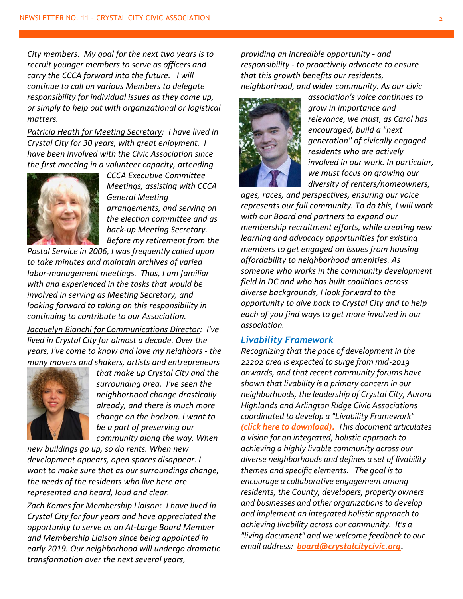*City members. My goal for the next two years is to recruit younger members to serve as officers and carry the CCCA forward into the future. I will continue to call on various Members to delegate responsibility for individual issues as they come up, or simply to help out with organizational or logistical matters.*

*Patricia Heath for Meeting Secretary: I have lived in Crystal City for 30 years, with great enjoyment. I have been involved with the Civic Association since the first meeting in a volunteer capacity, attending* 



*CCCA Executive Committee Meetings, assisting with CCCA General Meeting arrangements, and serving on the election committee and as back-up Meeting Secretary. Before my retirement from the* 

*Postal Service in 2006, I was frequently called upon to take minutes and maintain archives of varied labor-management meetings. Thus, I am familiar with and experienced in the tasks that would be involved in serving as Meeting Secretary, and looking forward to taking on this responsibility in continuing to contribute to our Association.*

*Jacquelyn Bianchi for Communications Director: I've lived in Crystal City for almost a decade. Over the years, I've come to know and love my neighbors - the many movers and shakers, artists and entrepreneurs* 



*that make up Crystal City and the surrounding area. I've seen the neighborhood change drastically already, and there is much more change on the horizon. I want to be a part of preserving our community along the way. When* 

*new buildings go up, so do rents. When new development appears, open spaces disappear. I want to make sure that as our surroundings change, the needs of the residents who live here are represented and heard, loud and clear.*

*Zach Komes for Membership Liaison: I have lived in Crystal City for four years and have appreciated the opportunity to serve as an At-Large Board Member and Membership Liaison since being appointed in early 2019. Our neighborhood will undergo dramatic transformation over the next several years,* 

*providing an incredible opportunity - and responsibility - to proactively advocate to ensure that this growth benefits our residents, neighborhood, and wider community. As our civic* 



*association's voice continues to grow in importance and relevance, we must, as Carol has encouraged, build a "next generation" of civically engaged residents who are actively involved in our work. In particular, we must focus on growing our diversity of renters/homeowners,* 

*ages, races, and perspectives, ensuring our voice represents our full community. To do this, I will work with our Board and partners to expand our membership recruitment efforts, while creating new learning and advocacy opportunities for existing members to get engaged on issues from housing affordability to neighborhood amenities. As someone who works in the community development field in DC and who has built coalitions across diverse backgrounds, I look forward to the opportunity to give back to Crystal City and to help each of you find ways to get more involved in our association.*

#### *Livability Framework*

*Recognizing that the pace of development in the 22202 area is expected to surge from mid-2019 onwards, and that recent community forums have shown that livability is a primary concern in our neighborhoods, the leadership of Crystal City, Aurora Highlands and Arlington Ridge Civic Associations coordinated to develop a "Livability Framework" [\(click here to download\).](http://crystalcitycivic.org/22202-livability-framework%206.23.19.pdf) This document articulates a vision for an integrated, holistic approach to achieving a highly livable community across our diverse neighborhoods and defines a set of livability themes and specific elements. The goal is to encourage a collaborative engagement among residents, the County, developers, property owners and businesses and other organizations to develop and implement an integrated holistic approach to achieving livability across our community. It's a "living document" and we welcome feedback to our email address: [board@crystalcitycivic.org.](mailto:board@crystalcitycivic.org)*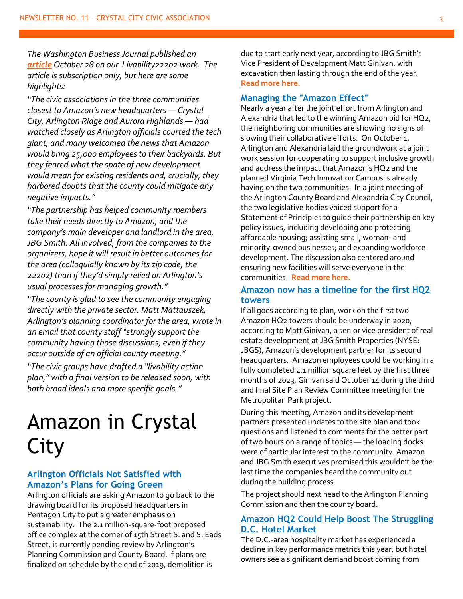*The Washington Business Journal published an [article](https://www.bizjournals.com/washington/news/2019/10/28/arlington-neighbors-working-directly-with-amazon.html) October 28 on our Livability22202 work. The article is subscription only, but here are some highlights:*

*"The civic associations in the three communities closest to Amazon's new headquarters — Crystal City, Arlington Ridge and Aurora Highlands — had watched closely as Arlington officials courted the tech giant, and many welcomed the news that Amazon would bring 25,000 employees to their backyards. But they feared what the spate of new development would mean for existing residents and, crucially, they harbored doubts that the county could mitigate any negative impacts."*

*"The partnership has helped community members take their needs directly to Amazon, and the company's main developer and landlord in the area, JBG Smith. All involved, from the companies to the organizers, hope it will result in better outcomes for the area (colloquially known by its zip code, the 22202) than if they'd simply relied on Arlington's usual processes for managing growth."*

*"The county is glad to see the community engaging directly with the private sector. Matt Mattauszek, Arlington's planning coordinator for the area, wrote in an email that county staff "strongly support the community having those discussions, even if they occur outside of an official county meeting."*

*"The civic groups have drafted a "livability action plan," with a final version to be released soon, with both broad ideals and more specific goals."*

### Amazon in Crystal City

#### **Arlington Officials Not Satisfied with Amazon's Plans for Going Green**

Arlington officials are asking Amazon to go back to the drawing board for its proposed headquarters in Pentagon City to put a greater emphasis on sustainability. The 2.1 million-square-foot proposed office complex at the corner of 15th Street S. and S. Eads Street, is currently pending review by Arlington's Planning Commission and County Board. If plans are finalized on schedule by the end of 2019, demolition is

due to start early next year, according to JBG Smith's Vice President of Development Matt Ginivan, with excavation then lasting through the end of the year. **[Read more here.](https://www.arlnow.com/2019/10/15/amazon-officials-supportive-but-not-satisfied-with-amazons-plans-for-going-greens/?mc_cid=f3dbc661c6&mc_eid=e22d65c5c2)**

#### **Managing the "Amazon Effect"**

Nearly a year after the joint effort from Arlington and Alexandria that led to the winning Amazon bid for HQ2, the neighboring communities are showing no signs of slowing their collaborative efforts. On October 1, Arlington and Alexandria laid the groundwork at a joint work session for cooperating to support inclusive growth and address the impact that Amazon's HQ2 and the planned Virginia Tech Innovation Campus is already having on the two communities. In a joint meeting of the Arlington County Board and Alexandria City Council, the two legislative bodies voiced support for a Statement of Principles to guide their partnership on key policy issues, including developing and protecting affordable housing; assisting small, woman- and minority-owned businesses; and expanding workforce development. The discussion also centered around ensuring new facilities will serve everyone in the communities. **[Read more here.](https://www.arlingtoneconomicdevelopment.com/resources/blog/arlington-alexandria-support-principles-for-inclusive-growth/)**

#### **Amazon now has a timeline for the first HQ2 towers**

If all goes according to plan, work on the first two Amazon HQ2 towers should be underway in 2020, according to Matt Ginivan, a senior vice president of real estate development at JBG Smith Properties (NYSE: JBGS), Amazon's development partner for its second headquarters. Amazon employees could be working in a fully completed 2.1 million square feet by the first three months of 2023, Ginivan said October 14 during the third and final Site Plan Review Committee meeting for the Metropolitan Park project.

During this meeting, Amazon and its development partners presented updates to the site plan and took questions and listened to comments for the better part of two hours on a range of topics — the loading docks were of particular interest to the community. Amazon and JBG Smith executives promised this wouldn't be the last time the companies heard the community out during the building process.

The project should next head to the Arlington Planning Commission and then the county board.

#### **Amazon HQ2 Could Help Boost The Struggling D.C. Hotel Market**

The D.C.-area hospitality market has experienced a decline in key performance metrics this year, but hotel owners see a significant demand boost coming from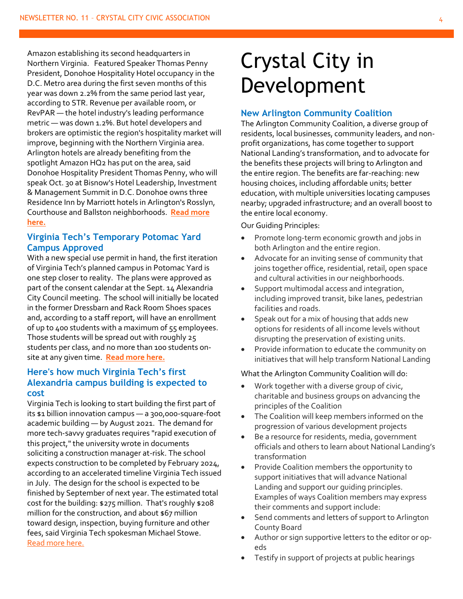Amazon establishing its second headquarters in Northern Virginia. Featured Speaker Thomas Penny President, Donohoe Hospitality Hotel occupancy in the D.C. Metro area during the first seven months of this year was down 2.2% from the same period last year, according to STR. Revenue per available room, or RevPAR — the hotel industry's leading performance metric — was down 1.2%. But hotel developers and brokers are optimistic the region's hospitality market will improve, beginning with the Northern Virginia area. Arlington hotels are already benefiting from the spotlight Amazon HQ2 has put on the area, said Donohoe Hospitality President Thomas Penny, who will speak Oct. 30 at Bisnow's Hotel Leadership, Investment & Management Summit in D.C. Donohoe owns three Residence Inn by Marriott hotels in Arlington's Rosslyn, Courthouse and Ballston neighborhoods. **[Read more](https://www.bisnow.com/washington-dc/news/hotel/amazon-hq2-could-help-boost-the-struggling-dc-hotel-market-101207?utm_source=outbound_pub_67&utm_campaign=outbound_issue_32891&utm_content=outbound_newsletter1&utm_medium=email)  [here.](https://www.bisnow.com/washington-dc/news/hotel/amazon-hq2-could-help-boost-the-struggling-dc-hotel-market-101207?utm_source=outbound_pub_67&utm_campaign=outbound_issue_32891&utm_content=outbound_newsletter1&utm_medium=email)**

#### **Virginia Tech's Temporary Potomac Yard Campus Approved**

With a new special use permit in hand, the first iteration of Virginia Tech's planned campus in Potomac Yard is one step closer to reality. The plans were approved as part of the consent calendar at the Sept. 14 Alexandria City Council meeting. The school will initially be located in the former Dressbarn and Rack Room Shoes spaces and, according to a staff report, will have an enrollment of up to 400 students with a maximum of 55 employees. Those students will be spread out with roughly 25 students per class, and no more than 100 students onsite at any given time. **[Read more](https://www.alxnow.com/2019/10/02/virginia-techs-temporary-potomac-yard-campus-approved/?mc_cid=786d63aa4d&mc_eid=e22d65c5c2) here.**

#### **Here's how much Virginia Tech's first Alexandria campus building is expected to cost**

Virginia Tech is looking to start building the first part of its \$1 billion innovation campus — a 300,000-square-foot academic building — by August 2021. The demand for more tech-savvy graduates requires "rapid execution of this project," the university wrote in documents soliciting a construction manager at-risk. The school expects construction to be completed by February 2024, according to an accelerated timeline Virginia Tech issued in July. The design for the school is expected to be finished by September of next year. The estimated total cost for the building: \$275 million. That's roughly \$208 million for the construction, and about \$67 million toward design, inspection, buying furniture and other fees, said Virginia Tech spokesman Michael Stowe. [Read more here.](https://www.bizjournals.com/washington/news/2019/10/03/heres-how-much-virginia-tech-s-first-alexandria.html?ana=e_ae_set1&j=84188801&t=Afternoon&mkt_tok=eyJpIjoiT1dRM09HUXpNRFJoTXpReSIsInQiOiJDRnpaa2NiaGV3UXZWSzZZXC9scm95elpTMDk1cnJRcm1WcW1ycllzQ2tNYlpjRkp0QitrMmRUbFBzeUc0R284TnZNc1FHdHFzZDhodHVsd3ZsVzAxYTNwQU9WZnA4OE1iaEpnZUZ4Wms3YjkrWVRiK1haNkYwNzE0VVMrWGZITWYifQ%3D%3D)

## Crystal City in Development

#### **New Arlington Community Coalition**

The Arlington Community Coalition, a diverse group of residents, local businesses, community leaders, and nonprofit organizations, has come together to support National Landing's transformation, and to advocate for the benefits these projects will bring to Arlington and the entire region. The benefits are far-reaching: new housing choices, including affordable units; better education, with multiple universities locating campuses nearby; upgraded infrastructure; and an overall boost to the entire local economy.

Our Guiding Principles:

- Promote long-term economic growth and jobs in both Arlington and the entire region.
- Advocate for an inviting sense of community that joins together office, residential, retail, open space and cultural activities in our neighborhoods.
- Support multimodal access and integration, including improved transit, bike lanes, pedestrian facilities and roads.
- Speak out for a mix of housing that adds new options for residents of all income levels without disrupting the preservation of existing units.
- Provide information to educate the community on initiatives that will help transform National Landing

#### What the Arlington Community Coalition will do:

- Work together with a diverse group of civic, charitable and business groups on advancing the principles of the Coalition
- The Coalition will keep members informed on the progression of various development projects
- Be a resource for residents, media, government officials and others to learn about National Landing's transformation
- Provide Coalition members the opportunity to support initiatives that will advance National Landing and support our guiding principles. Examples of ways Coalition members may express their comments and support include:
- Send comments and letters of support to Arlington County Board
- Author or sign supportive letters to the editor or opeds
- Testify in support of projects at public hearings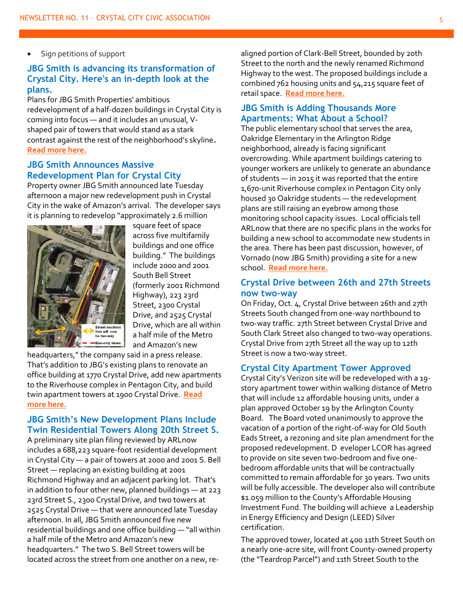• Sign petitions of support

#### **JBG Smith is advancing its transformation of Crystal City. Here's an in-depth look at the plans.**

Plans for JBG Smith Properties' ambitious redevelopment of a half-dozen buildings in Crystal City is coming into focus — and it includes an unusual, Vshaped pair of towers that would stand as a stark contrast against the rest of the neighborhood's skyline**. [Read more here.](https://www.bizjournals.com/washington/news/2019/10/07/jbg-smith-is-advancing-its-transformation-of.html?ana=e_wash_bn_editorschoice&j=84388591&t=Breaking%20News&mkt_tok=eyJpIjoiTkRKak5qaGhNVFkyT0RsayIsInQiOiI2bnZMdWN5NHNHcGRYV3MrbUlwWUZCXC8reWVTZnFOK2dpRFZEMUZudFJDMU5TTzZIem5aenhnelQ0aUxXZW1SZDFwaEE5dHBuQUNOanI1Uk1oMzI0V3pKZ29CUFdyem5XdGZMa0ZkaGxwR0VqZ2VmUlFZOEUxYlZaazdVVGZcL3ZQIn0%3D)**

#### **JBG Smith Announces Massive Redevelopment Plan for Crystal City**

Property owner JBG Smith announced late Tuesday afternoon a major new redevelopment push in Crystal City in the wake of Amazon's arrival. The developer says it is planning to redevelop "approximately 2.6 million



square feet of space across five multifamily buildings and one office building." The buildings include 2000 and 2001 South Bell Street (formerly 2001 Richmond Highway), 223 23rd Street, 2300 Crystal Drive, and 2525 Crystal Drive, which are all within a half mile of the Metro and Amazon's new

headquarters," the company said in a press release. That's addition to JBG's existing plans to renovate an office building at 1770 Crystal Drive, add new apartments to the Riverhouse complex in Pentagon City, and build twin apartment towers at 1900 Crystal Drive. **[Read](https://www.arlnow.com/2019/10/01/breaking-jbg-smith-announces-massive-redevelopment-plan-for-crystal-city/?mc_cid=3eff4299b6&mc_eid=e22d65c5c2)  [more here.](https://www.arlnow.com/2019/10/01/breaking-jbg-smith-announces-massive-redevelopment-plan-for-crystal-city/?mc_cid=3eff4299b6&mc_eid=e22d65c5c2)**

#### **JBG Smith's New Development Plans Include Twin Residential Towers Along 20th Street S.**

A preliminary site plan filing reviewed by ARLnow includes a 688,223 square-foot residential development in Crystal City — a pair of towers at 2000 and 2001 S. Bell Street — replacing an existing building at 2001 Richmond Highway and an adjacent parking lot. That's in addition to four other new, planned buildings — at 223 23rd Street S., 2300 Crystal Drive, and two towers at 2525 Crystal Drive — that were announced late Tuesday afternoon. In all, JBG Smith announced five new residential buildings and one office building — "all within a half mile of the Metro and Amazon's new headquarters." The two S. Bell Street towers will be located across the street from one another on a new, realigned portion of Clark-Bell Street, bounded by 20th Street to the north and the newly renamed Richmond Highway to the west. The proposed buildings include a combined 762 housing units and 54,215 square feet of retail space. **[Read more here.](https://www.arlnow.com/2019/10/02/jbg-smiths-new-development-plans-include-twin-residential-towers-along-20th-street-s/?mc_cid=3eff4299b6&mc_eid=e22d65c5c2)**

#### **JBG Smith is Adding Thousands More Apartments: What About a School?**

The public elementary school that serves the area, Oakridge Elementary in the Arlington Ridge neighborhood, already is facing significant overcrowding. While apartment buildings catering to younger workers are unlikely to generate an abundance of students — in 2015 it was reported that the entire 1,670-unit Riverhouse complex in Pentagon City only housed 30 Oakridge students — the redevelopment plans are still raising an eyebrow among those monitoring school capacity issues. Local officials tell ARLnow that there are no specific plans in the works for building a new school to accommodate new students in the area. There has been past discussion, however, of Vornado (now JBG Smith) providing a site for a new school. **[Read more here.](https://www.arlnow.com/2019/10/11/jbg-smith-is-adding-thousands-more-apartments-what-about-a-school/?mc_cid=08e78aaf54&mc_eid=e22d65c5c2)**

#### **Crystal Drive between 26th and 27th Streets now two-way**

On Friday, Oct. 4, Crystal Drive between 26th and 27th Streets South changed from one-way northbound to two-way traffic. 27th Street between Crystal Drive and South Clark Street also changed to two-way operations. Crystal Drive from 27th Street all the way up to 12th Street is now a two-way street.

#### **Crystal City Apartment Tower Approved**

Crystal City's Verizon site will be redeveloped with a 19 story apartment tower within walking distance of Metro that will include 12 affordable housing units, under a plan approved October 19 by the Arlington County Board. The Board voted unanimously to approve the vacation of a portion of the right-of-way for Old South Eads Street, a rezoning and site plan amendment for the proposed redevelopment. D eveloper LCOR has agreed to provide on site seven two-bedroom and five onebedroom affordable units that will be contractually committed to remain affordable for 30 years. Two units will be fully accessible. The developer also will contribute \$1.059 million to the County's Affordable Housing Investment Fund. The building will achieve a Leadership in Energy Efficiency and Design (LEED) Silver certification.

The approved tower, located at 400 11th Street South on a nearly one-acre site, will front County-owned property (the "Teardrop Parcel") and 11th Street South to the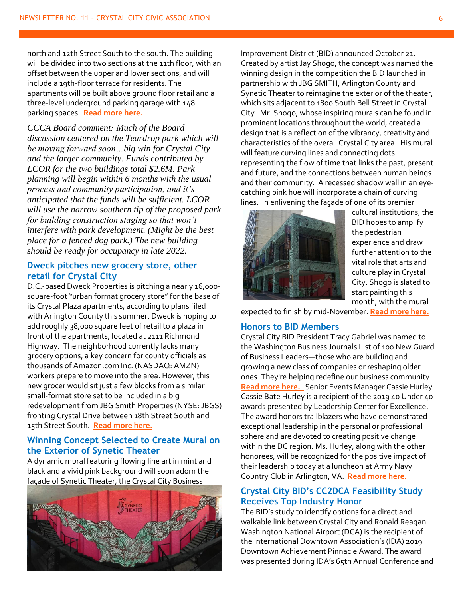north and 12th Street South to the south. The building will be divided into two sections at the 11th floor, with an offset between the upper and lower sections, and will include a 19th-floor terrace for residents. The apartments will be built above ground floor retail and a three-level underground parking garage with 148 parking spaces. **[Read more here.](https://newsroom.arlingtonva.us/release/crystal-city-apartment-tower-approved/)**

*CCCA Board comment: Much of the Board discussion centered on the Teardrop park which will be moving forward soon…big win for Crystal City and the larger community. Funds contributed by LCOR for the two buildings total \$2.6M. Park planning will begin within 6 months with the usual process and community participation, and it's anticipated that the funds will be sufficient. LCOR will use the narrow southern tip of the proposed park for building construction staging so that won't interfere with park development. (Might be the best place for a fenced dog park.) The new building should be ready for occupancy in late 2022.*

#### **Dweck pitches new grocery store, other retail for Crystal City**

D.C.-based Dweck Properties is pitching a nearly 16,000 square-foot "urban format grocery store" for the base of its Crystal Plaza apartments, according to plans filed with Arlington County this summer. Dweck is hoping to add roughly 38,000 square feet of retail to a plaza in front of the apartments, located at 2111 Richmond Highway. The neighborhood currently lacks many grocery options, a key concern for county officials as thousands of Amazon.com Inc. (NASDAQ: AMZN) workers prepare to move into the area. However, this new grocer would sit just a few blocks from a similar small-format store set to be included in a big redevelopment from JBG Smith Properties (NYSE: JBGS) fronting Crystal Drive between 18th Street South and 15th Street South. **[Read more here.](https://www.bizjournals.com/washington/news/2019/10/02/dweck-pitches-new-grocery-store-other-retail-for.html?ana=e_ae_set1&j=84163391&t=Afternoon&mkt_tok=eyJpIjoiWldZek56a3lPVFZqWlRJMiIsInQiOiJlb09OTmtoVXdhQUowQTY0TGlIcTlcL1JaN3VlcTRcL3JnZzFWV2h5ZTFJVis2b1I1Uk1PYjViZGh1Q2E5eGlyZW9vNnBlbWY0OXZnQ3RMSTJRTlwvNWk5MzJPeE1HdEJXUlp0YThMVUxCUzB5K2w4NzlXdlRuK0RmNUcyWk5XNFYrZiJ9)**

#### **Winning Concept Selected to Create Mural on the Exterior of Synetic Theater**

A dynamic mural featuring flowing line art in mint and black and a vivid pink background will soon adorn the façade of Synetic Theater, the Crystal City Business



Improvement District (BID) announced October 21. Created by artist Jay Shogo, the concept was named the winning design in the competition the BID launched in partnership with JBG SMITH, Arlington County and Synetic Theater to reimagine the exterior of the theater, which sits adjacent to 1800 South Bell Street in Crystal City. Mr. Shogo, whose inspiring murals can be found in prominent locations throughout the world, created a design that is a reflection of the vibrancy, creativity and characteristics of the overall Crystal City area. His mural will feature curving lines and connecting dots representing the flow of time that links the past, present and future, and the connections between human beings and their community. A recessed shadow wall in an eyecatching pink hue will incorporate a chain of curving lines. In enlivening the façade of one of its premier



cultural institutions, the BID hopes to amplify the pedestrian experience and draw further attention to the vital role that arts and culture play in Crystal City. Shogo is slated to start painting this month, with the mural

expected to finish by mid-November. **[Read more here.](https://www.washingtonian.com/2019/10/21/check-out-the-new-mural-coming-to-crystal-city/)**

#### **Honors to BID Members**

Crystal City BID President Tracy Gabriel was named to the Washington Business Journals List of 100 New Guard of Business Leaders—those who are building and growing a new class of companies or reshaping older ones. They're helping redefine our business community. **[Read more here.](https://www.bizjournals.com/washington/news/2018/10/23/who-needs-power-100-meet-washingtons-new-guard-of.html)** Senior Events Manager Cassie Hurley Cassie Bate Hurley is a recipient of the 2019 40 Under 40 awards presented by Leadership Center for Excellence. The award honors trailblazers who have demonstrated exceptional leadership in the personal or professional sphere and are devoted to creating positive change within the DC region. Ms. Hurley, along with the other honorees, will be recognized for the positive impact of their leadership today at a luncheon at Army Navy Country Club in Arlington, VA. **[Read more here.](https://www.crystalcity.org/item/40-under-40)**

#### **Crystal City BID's CC2DCA Feasibility Study Receives Top Industry Honor**

The BID's study to identify options for a direct and walkable link between Crystal City and Ronald Reagan Washington National Airport (DCA) is the recipient of the International Downtown Association's (IDA) 2019 Downtown Achievement Pinnacle Award. The award was presented during IDA's 65th Annual Conference and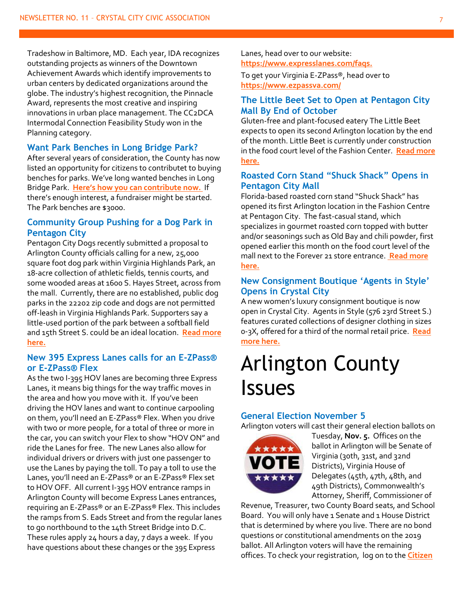Tradeshow in Baltimore, MD. Each year, IDA recognizes outstanding projects as winners of the Downtown Achievement Awards which identify improvements to urban centers by dedicated organizations around the globe. The industry's highest recognition, the Pinnacle Award, represents the most creative and inspiring innovations in urban place management. The CC2DCA Intermodal Connection Feasibility Study won in the Planning category.

#### **Want Park Benches in Long Bridge Park?**

After several years of consideration, the County has now listed an opportunity for citizens to contributet to buying benches for parks. We've long wanted benches in Long Bridge Park. **Here['s how you can contribute now.](https://parks.arlingtonva.us/commemorate-donate/)** If there's enough interest, a fundraiser might be started. The Park benches are \$3000.

#### **Community Group Pushing for a Dog Park in Pentagon City**

Pentagon City Dogs recently submitted a proposal to Arlington County officials calling for a new, 25,000 square foot dog park within Virginia Highlands Park, an 18-acre collection of athletic fields, tennis courts, and some wooded areas at 1600 S. Hayes Street, across from the mall. Currently, there are no established, public dog parks in the 22202 zip code and dogs are not permitted off-leash in Virginia Highlands Park. Supporters say a little-used portion of the park between a softball field and 15th Street S. could be an ideal location. **[Read more](https://www.arlnow.com/2019/10/29/community-group-pushing-for-a-dog-park-in-pentagon-city/?mc_cid=7b3c769730&mc_eid=e22d65c5c2)  [here.](https://www.arlnow.com/2019/10/29/community-group-pushing-for-a-dog-park-in-pentagon-city/?mc_cid=7b3c769730&mc_eid=e22d65c5c2)**

#### **New 395 Express Lanes calls for an E-ZPass® or E-ZPass® Flex**

As the two I-395 HOV lanes are becoming three Express Lanes, it means big things for the way traffic moves in the area and how you move with it. If you've been driving the HOV lanes and want to continue carpooling on them, you'll need an E-ZPass® Flex. When you drive with two or more people, for a total of three or more in the car, you can switch your Flex to show "HOV ON" and ride the Lanes for free. The new Lanes also allow for individual drivers or drivers with just one passenger to use the Lanes by paying the toll. To pay a toll to use the Lanes, you'll need an E-ZPass® or an E-ZPass® Flex set to HOV OFF. All current I-395 HOV entrance ramps in Arlington County will become Express Lanes entrances, requiring an E-ZPass® or an E-ZPass® Flex. This includes the ramps from S. Eads Street and from the regular lanes to go northbound to the 14th Street Bridge into D.C. These rules apply 24 hours a day, 7 days a week. If you have questions about these changes or the 395 Express

Lanes, head over to our website: **<https://www.expresslanes.com/faqs.>**

To get your Virginia E-ZPass®, head over to **<https://www.ezpassva.com/>**

#### **The Little Beet Set to Open at Pentagon City Mall By End of October**

Gluten-free and plant-focused eatery The Little Beet expects to open its second Arlington location by the end of the month. Little Beet is currently under construction in the food court level of the Fashion Center. **[Read more](https://www.arlnow.com/2019/10/03/the-little-beet-will-blossom-in-pentagon-city-mall-by-the-end-of-the-month/?mc_cid=11826e509d&mc_eid=e22d65c5c2)  [here.](https://www.arlnow.com/2019/10/03/the-little-beet-will-blossom-in-pentagon-city-mall-by-the-end-of-the-month/?mc_cid=11826e509d&mc_eid=e22d65c5c2)**

#### **Roasted Corn Stand "Shuck Shack" Opens in Pentagon City Mall**

Florida-based roasted corn stand "Shuck Shack" has opened its first Arlington location in the Fashion Centre at Pentagon City. The fast-casual stand, which specializes in gourmet roasted corn topped with butter and/or seasonings such as Old Bay and chili powder, first opened earlier this month on the food court level of the mall next to the Forever 21 store entrance. **[Read more](https://www.arlnow.com/2019/10/16/roasted-corn-stand-shuck-shack-opens-in-pentagon-city-mall/?mc_cid=0ef24eb049&mc_eid=e22d65c5c2)  [here.](https://www.arlnow.com/2019/10/16/roasted-corn-stand-shuck-shack-opens-in-pentagon-city-mall/?mc_cid=0ef24eb049&mc_eid=e22d65c5c2)**

#### **New Consignment Boutique 'Agents in Style' Opens in Crystal City**

A new women's luxury consignment boutique is now open in Crystal City. Agents in Style (576 23rd Street S.) features curated collections of designer clothing in sizes 0-3X, offered for a third of the normal retail price. **[Read](https://www.arlnow.com/2019/10/02/new-consignment-boutique-agents-in-style-opens-in-crystal-city/)  [more here.](https://www.arlnow.com/2019/10/02/new-consignment-boutique-agents-in-style-opens-in-crystal-city/)**

### Arlington County Issues

#### **General Election November 5**

Arlington voters will cast their general election ballots on



Tuesday, **Nov. 5.** Offices on the ballot in Arlington will be Senate of Virginia (30th, 31st, and 32nd Districts), Virginia House of Delegates (45th, 47th, 48th, and 49th Districts), Commonwealth's Attorney, Sheriff, Commissioner of

Revenue, Treasurer, two County Board seats, and School Board. You will only have 1 Senate and 1 House District that is determined by where you live. There are no bond questions or constitutional amendments on the 2019 ballot. All Arlington voters will have the remaining offices. To check your registration, log on to the **[Citizen](https://vote.elections.virginia.gov/VoterInformation)**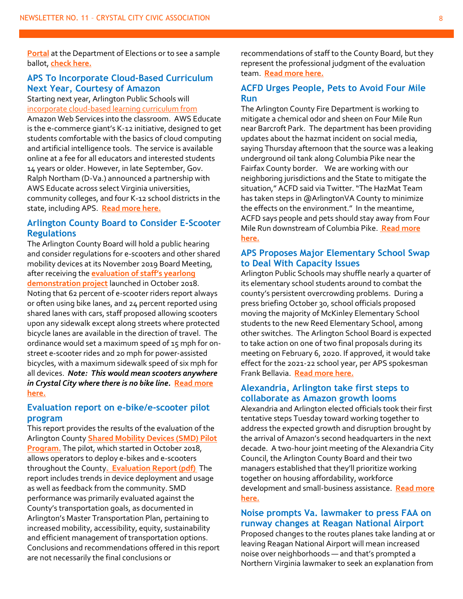**[Portal](https://vote.elections.virginia.gov/VoterInformation)** at the Department of Elections or to see a sample ballot, **[check here.](https://vote.arlingtonva.us/elections/)**

#### **APS To Incorporate Cloud-Based Curriculum Next Year, Courtesy of Amazon**

Starting next year, Arlington Public Schools will [incorporate cloud-based learning curriculum from](https://www.arlnow.com/2019/10/31/fire-department-keep-pets-out-of-four-mile-run/?mc_cid=d6e86f2adb&mc_eid=e22d65c5c2) Amazon Web Services into the classroom. AWS Educate is the e-commerce giant's K-12 initiative, designed to get students comfortable with the basics of cloud computing and artificial intelligence tools. The service is available online at a fee for all educators and interested students 14 years or older. However, in late September, Gov. Ralph Northam (D-Va.) announced a partnership with AWS Educate across select Virginia universities, community colleges, and four K-12 school districts in the state, including APS. **[Read more here.](https://www.arlnow.com/2019/10/24/aps-to-incorporate-cloud-based-curriculum-next-year-courtesy-of-amazon/?mc_cid=67d16bfc16&mc_eid=e22d65c5c2)**

#### **Arlington County Board to Consider E-Scooter Regulations**

The Arlington County Board will hold a public hearing and consider regulations for e-scooters and other shared mobility devices at its November 2019 Board Meeting, after receiving the **[evaluation of staff's yearlong](https://transportation.arlingtonva.us/scooters-and-dockless-bikeshare/)  [demonstration project](https://transportation.arlingtonva.us/scooters-and-dockless-bikeshare/)** launched in October 2018. Noting that 62 percent of e-scooter riders report always or often using bike lanes, and 24 percent reported using shared lanes with cars, staff proposed allowing scooters upon any sidewalk except along streets where protected bicycle lanes are available in the direction of travel. The ordinance would set a maximum speed of 15 mph for onstreet e-scooter rides and 20 mph for power-assisted bicycles, with a maximum sidewalk speed of six mph for all devices. *[Note: This would mean scooters anywhere](https://newsroom.arlingtonva.us/release/arlington-county-board-to-consider-e-scooter-regulations/)  [in Crystal City where there is no bike line.](https://newsroom.arlingtonva.us/release/arlington-county-board-to-consider-e-scooter-regulations/)* **Read more [here.](https://newsroom.arlingtonva.us/release/arlington-county-board-to-consider-e-scooter-regulations/)**

#### **Evaluation report on e-bike/e-scooter pilot program**

This report provides the results of the evaluation of the Arlington County **[Shared Mobility Devices \(SMD\) Pilot](https://transportation.arlingtonva.us/scooters-and-dockless-bikeshare/)  [Program.](https://transportation.arlingtonva.us/scooters-and-dockless-bikeshare/)** The pilot, which started in October 2018, allows operators to deploy e-bikes and e-scooters throughout the County**[. Evaluation Report \(pdf\)](https://arlingtonva.s3.amazonaws.com/wp-content/uploads/sites/19/2019/09/ARL_SMD_Evaluation_Final_Report_092519.pdf)** The report includes trends in device deployment and usage as well as feedback from the community. SMD performance was primarily evaluated against the County's transportation goals, as documented in Arlington's Master Transportation Plan, pertaining to increased mobility, accessibility, equity, sustainability and efficient management of transportation options. Conclusions and recommendations offered in this report are not necessarily the final conclusions or

recommendations of staff to the County Board, but they represent the professional judgment of the evaluation team. **[Read more here.](https://content.govdelivery.com/accounts/VAARLINGTON/bulletins/263ab04)**

#### **ACFD Urges People, Pets to Avoid Four Mile Run**

The Arlington County Fire Department is working to mitigate a chemical odor and sheen on Four Mile Run near Barcroft Park. The department has been providing updates about the hazmat incident on social media, saying Thursday afternoon that the source was a leaking underground oil tank along Columbia Pike near the Fairfax County border. We are working with our neighboring jurisdictions and the State to mitigate the situation," ACFD said via Twitter. "The HazMat Team has taken steps in @ArlingtonVA County to minimize the effects on the environment." In the meantime, ACFD says people and pets should stay away from Four Mile Run downstream of Columbia Pike. **[Read more](https://www.arlnow.com/2019/10/31/fire-department-keep-pets-out-of-four-mile-run/?mc_cid=d6e86f2adb&mc_eid=e22d65c5c2)  [here.](https://www.arlnow.com/2019/10/31/fire-department-keep-pets-out-of-four-mile-run/?mc_cid=d6e86f2adb&mc_eid=e22d65c5c2)**

#### **APS Proposes Major Elementary School Swap to Deal With Capacity Issues**

Arlington Public Schools may shuffle nearly a quarter of its elementary school students around to combat the county's persistent overcrowding problems. During a press briefing October 30, school officials proposed moving the majority of McKinley Elementary School students to the new Reed Elementary School, among other switches. The Arlington School Board is expected to take action on one of two final proposals during its meeting on February 6, 2020. If approved, it would take effect for the 2021-22 school year, per APS spokesman Frank Bellavia. **[Read more here.](https://www.arlnow.com/2019/10/31/aps-proposes-major-elementary-school-swap-to-deal-with-capacity-issues/?mc_cid=d6e86f2adb&mc_eid=e22d65c5c2)**

#### **Alexandria, Arlington take first steps to collaborate as Amazon growth looms**

Alexandria and Arlington elected officials took their first tentative steps Tuesday toward working together to address the expected growth and disruption brought by the arrival of Amazon's second headquarters in the next decade. A two-hour joint meeting of the Alexandria City Council, the Arlington County Board and their two managers established that they'll prioritize working together on housing affordability, workforce development and small-business assistance. **[Read more](https://www.washingtonpost.com/local/virginia-politics/alexandria-arlington-take-first-steps-to-collaborate-as-amazon-growth-looms/2019/10/02/2bb8818a-e4bd-11e9-b403-f738899982d2_story.html?wpisrc=nl_lclheads&wpmm=1)  [here.](https://www.washingtonpost.com/local/virginia-politics/alexandria-arlington-take-first-steps-to-collaborate-as-amazon-growth-looms/2019/10/02/2bb8818a-e4bd-11e9-b403-f738899982d2_story.html?wpisrc=nl_lclheads&wpmm=1)**

#### **Noise prompts Va. lawmaker to press FAA on runway changes at Reagan National Airport**

Proposed changes to the routes planes take landing at or leaving Reagan National Airport will mean increased noise over neighborhoods — and that's prompted a Northern Virginia lawmaker to seek an explanation from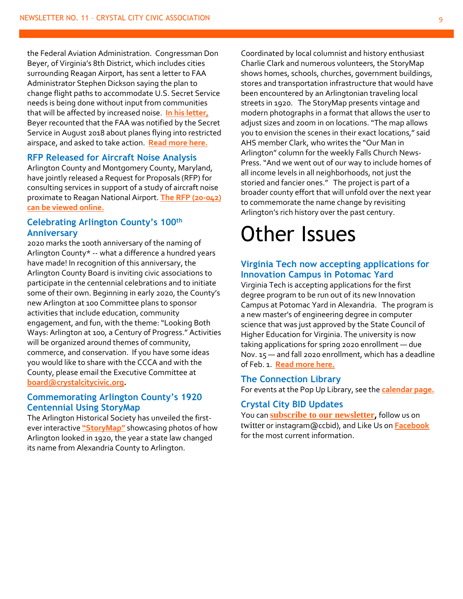the Federal Aviation Administration. Congressman Don Beyer, of Virginia's 8th District, which includes cities surrounding Reagan Airport, has sent a letter to FAA Administrator Stephen Dickson saying the plan to change flight paths to accommodate U.S. Secret Service needs is being done without input from communities that will be affected by increased noise. **[In his letter,](https://beyer.house.gov/uploadedfiles/letter_to_faa_re_p56_changes_10.24.19.pdf)** Beyer recounted that the FAA was notified by the Secret Service in August 2018 about planes flying into restricted airspace, and asked to take action. **[Read more here.](https://wtop.com/virginia/2019/10/noise-prompts-va-lawmaker-to-press-faa-on-runway-changes-at-reagan-national-airport/)**

#### **RFP Released for Aircraft Noise Analysis**

Arlington County and Montgomery County, Maryland, have jointly released a Request for Proposals (RFP) for consulting services in support of a study of aircraft noise proximate to Reagan National Airport. **[The RFP \(20-042\)](https://m.vendor.epro.cgipdc.com/Vendor/public/VBODetails.jsp?DOC_CD=RFP&DEPT_CD=LA55&BID_INTRNL_NO=153408&BID_NO=20-042-RFP&BID_VERS_NO=2)  [can be viewed online.](https://m.vendor.epro.cgipdc.com/Vendor/public/VBODetails.jsp?DOC_CD=RFP&DEPT_CD=LA55&BID_INTRNL_NO=153408&BID_NO=20-042-RFP&BID_VERS_NO=2)**

#### **Celebrating Arlington County's 100th Anniversary**

2020 marks the 100th anniversary of the naming of Arlington County\* -- what a difference a hundred years have made! In recognition of this anniversary, the Arlington County Board is inviting civic associations to participate in the centennial celebrations and to initiate some of their own. Beginning in early 2020, the County's new Arlington at 100 Committee plans to sponsor activities that include education, community engagement, and fun, with the theme: "Looking Both Ways: Arlington at 100, a Century of Progress." Activities will be organized around themes of community, commerce, and conservation. If you have some ideas you would like to share with the CCCA and with the County, please email the Executive Committee at **[board@crystalcitycivic.org.](mailto:board@crystalcitycivic.org)** 

#### **Commemorating Arlington County's 1920 Centennial Using StoryMap**

The Arlington Historical Society has unveiled the firstever interactive **["StoryMap"](https://arlingtonhistoricalsociety.org/)** showcasing photos of how Arlington looked in 1920, the year a state law changed its name from Alexandria County to Arlington.

Coordinated by local columnist and history enthusiast Charlie Clark and numerous volunteers, the StoryMap shows homes, schools, churches, government buildings, stores and transportation infrastructure that would have been encountered by an Arlingtonian traveling local streets in 1920. The StoryMap presents vintage and modern photographs in a format that allows the user to adjust sizes and zoom in on locations. "The map allows you to envision the scenes in their exact locations," said AHS member Clark, who writes the "Our Man in Arlington" column for the weekly Falls Church News-Press. "And we went out of our way to include homes of all income levels in all neighborhoods, not just the storied and fancier ones." The project is part of a broader county effort that will unfold over the next year to commemorate the name change by revisiting Arlington's rich history over the past century.

### Other Issues

#### **Virginia Tech now accepting applications for Innovation Campus in Potomac Yard**

Virginia Tech is accepting applications for the first degree program to be run out of its new Innovation Campus at Potomac Yard in Alexandria. The program is a new master's of engineering degree in computer science that was just approved by the State Council of Higher Education for Virginia. The university is now taking applications for spring 2020 enrollment — due Nov. 15 — and fall 2020 enrollment, which has a deadline of Feb. 1. **[Read more here.](https://www.bizjournals.com/washington/news/2019/10/30/virginia-tech-now-accepting-applications-for.html?ana=e_ae_set1&j=90152831&t=Afternoon&mkt_tok=eyJpIjoiWkROaVptWXdPV0ptTnpNMiIsInQiOiIxZ2NKXC9JcXgzUnY3UVh3K0ZBQXpTcnpyMFNQQ2xzdTBjVFFrWVpYSkkxakxzcnE5bVYrR2o2Z1ZibzBxd1BVQzl0TDVPWGN2N1IzdDMyZTc3bTM0bGkrdXdVTVwvbmFld1pXSVdSYVQ1WnIxRkFZQTh1Z3FcL29YRDdGU2tlT25MRiJ9)**

#### **The Connection Library**

For events at the Pop Up Library, see the **[calendar page.](http://library.arlingtonva.us/calendar/?event_branch=Connection%3A+Crystal+City)**

#### **Crystal City BID Updates**

You can **[subscribe to our newsletter](https://www.crystalcity.org/subscribe),** follow us on [twitter](http://sg.geomailer.net/wf/click?upn=Vq-2BQveWjclNF-2BKWuDWwBHzxB2pFfrXszDPfYMvvWM-2Fo-3D_zb1QXmC-2FYFlCc5N0qvmxlcutV0U4XTkGEX-2F6dYUcpcskbBHlVPpFL42WURR7ItJODzR9ZhJ5G3OZNqrZGLqchZ-2Bv822rykBoF4wKqwMIm6V1F-2B08Am-2F4tKn-2Fz1S1wiM3e2iLr1xAKmYRFvskoZnBQpSiyd6DmPxZQTBhqj3DmlfpVxTWdMVhkVZKMQAJdqFx0YSk924-2BFNeVOutf-2BBI4aDlPW-2F2susSPDMGTYLa7xZ-2F-2B1dQq22w6EhNi6aEaRTbzfK0JFYrdiKegBlFDdz2PT1m1oNsVGDr-2Fpv-2BGsDJjVHQ-3D) or instagram@ccbid), and Like Us on **[Facebook](http://sg.geomailer.net/wf/click?upn=zOwe-2FII-2FqKYuL3cnbEEfYsTP-2FkLd-2BCGcwKgCdHb5rA2bC-2FkpzKFEePrBOFm5fmuL_zb1QXmC-2FYFlCc5N0qvmxlcutV0U4XTkGEX-2F6dYUcpcskbBHlVPpFL42WURR7ItJODzR9ZhJ5G3OZNqrZGLqchZ-2Bv822rykBoF4wKqwMIm6V1F-2B08Am-2F4tKn-2Fz1S1wiM3vdZyqYCp33rGxeeOJgO-2F1660UmDaDGY8gHdsP9baDPwIYG-2BdqrLVfsTnu7-2BnhgLfibx22-2B8F5fmw3M9rHU6Gp84EQAS51huZ3WdvctHP0scQWImru93Eb-2FwPhtJ9xE7gdLrhr5osFx62e4TuiYSJGTcSwOWGlAorD82kdzRVPKc-3D)** for the most current information.